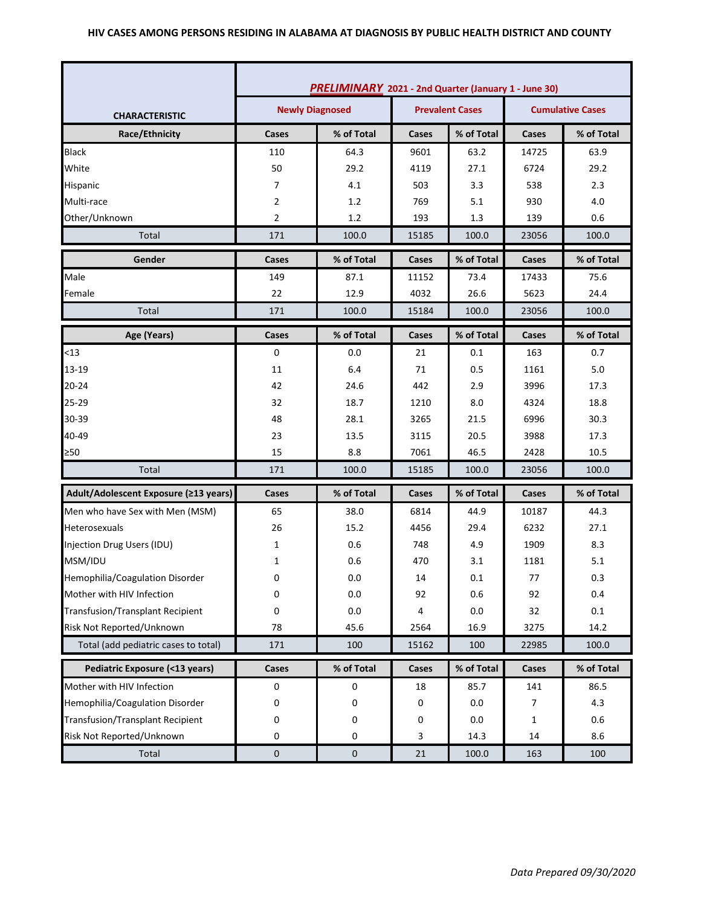#### **HIV CASES AMONG PERSONS RESIDING IN ALABAMA AT DIAGNOSIS BY PUBLIC HEALTH DISTRICT AND COUNTY**

|                                         | <b>PRELIMINARY</b> 2021 - 2nd Quarter (January 1 - June 30) |            |       |            |                         |            |
|-----------------------------------------|-------------------------------------------------------------|------------|-------|------------|-------------------------|------------|
| <b>CHARACTERISTIC</b>                   | <b>Newly Diagnosed</b><br><b>Prevalent Cases</b>            |            |       |            | <b>Cumulative Cases</b> |            |
| Race/Ethnicity                          | Cases                                                       | % of Total | Cases | % of Total | Cases                   | % of Total |
| <b>Black</b>                            | 110                                                         | 64.3       | 9601  | 63.2       | 14725                   | 63.9       |
| White                                   | 50                                                          | 29.2       | 4119  | 27.1       | 6724                    | 29.2       |
| Hispanic                                | 7                                                           | 4.1        | 503   | 3.3        | 538                     | 2.3        |
| Multi-race                              | 2                                                           | 1.2        | 769   | 5.1        | 930                     | 4.0        |
| Other/Unknown                           | 2                                                           | 1.2        | 193   | 1.3        | 139                     | 0.6        |
| Total                                   | 171                                                         | 100.0      | 15185 | 100.0      | 23056                   | 100.0      |
| Gender                                  | Cases                                                       | % of Total | Cases | % of Total | Cases                   | % of Total |
| Male                                    | 149                                                         | 87.1       | 11152 | 73.4       | 17433                   | 75.6       |
| Female                                  | 22                                                          | 12.9       | 4032  | 26.6       | 5623                    | 24.4       |
| Total                                   | 171                                                         | 100.0      | 15184 | 100.0      | 23056                   | 100.0      |
| Age (Years)                             | Cases                                                       | % of Total | Cases | % of Total | Cases                   | % of Total |
| < 13                                    | 0                                                           | 0.0        | 21    | 0.1        | 163                     | 0.7        |
| 13-19                                   | 11                                                          | 6.4        | 71    | 0.5        | 1161                    | 5.0        |
| $20 - 24$                               | 42                                                          | 24.6       | 442   | 2.9        | 3996                    | 17.3       |
| 25-29                                   | 32                                                          | 18.7       | 1210  | 8.0        | 4324                    | 18.8       |
| 30-39                                   | 48                                                          | 28.1       | 3265  | 21.5       | 6996                    | 30.3       |
| 40-49                                   | 23                                                          | 13.5       | 3115  | 20.5       | 3988                    | 17.3       |
| ≥50                                     | 15                                                          | 8.8        | 7061  | 46.5       | 2428                    | 10.5       |
| Total                                   | 171                                                         | 100.0      | 15185 | 100.0      | 23056                   | 100.0      |
| Adult/Adolescent Exposure (≥13 years)   | Cases                                                       | % of Total | Cases | % of Total | Cases                   | % of Total |
| Men who have Sex with Men (MSM)         | 65                                                          | 38.0       | 6814  | 44.9       | 10187                   | 44.3       |
| Heterosexuals                           | 26                                                          | 15.2       | 4456  | 29.4       | 6232                    | 27.1       |
| Injection Drug Users (IDU)              | 1                                                           | 0.6        | 748   | 4.9        | 1909                    | 8.3        |
| MSM/IDU                                 | 1                                                           | 0.6        | 470   | 3.1        | 1181                    | 5.1        |
| Hemophilia/Coagulation Disorder         | 0                                                           | 0.0        | 14    | 0.1        | 77                      | 0.3        |
| Mother with HIV Infection               | 0                                                           | 0.0        | 92    | 0.6        | 92                      | 0.4        |
| <b>Transfusion/Transplant Recipient</b> | 0                                                           | 0.0        | 4     | 0.0        | 32                      | $0.1\,$    |
| Risk Not Reported/Unknown               | 78                                                          | 45.6       | 2564  | 16.9       | 3275                    | 14.2       |
| Total (add pediatric cases to total)    | 171                                                         | 100        | 15162 | 100        | 22985                   | 100.0      |
| Pediatric Exposure (<13 years)          | Cases                                                       | % of Total | Cases | % of Total | Cases                   | % of Total |
| Mother with HIV Infection               | $\pmb{0}$                                                   | 0          | 18    | 85.7       | 141                     | 86.5       |
| Hemophilia/Coagulation Disorder         | 0                                                           | 0          | 0     | 0.0        | 7                       | 4.3        |
| <b>Transfusion/Transplant Recipient</b> | 0                                                           | 0          | 0     | 0.0        | $\mathbf{1}$            | 0.6        |
| Risk Not Reported/Unknown               | 0                                                           | 0          | 3     | 14.3       | 14                      | 8.6        |
| Total                                   | $\pmb{0}$                                                   | $\pmb{0}$  | 21    | 100.0      | 163                     | 100        |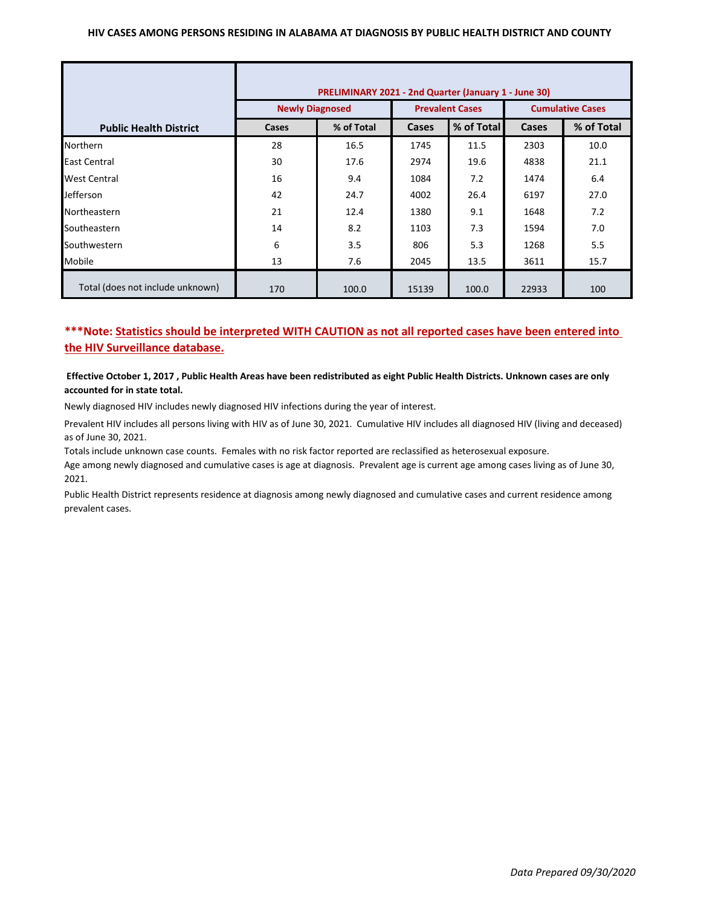#### **HIV CASES AMONG PERSONS RESIDING IN ALABAMA AT DIAGNOSIS BY PUBLIC HEALTH DISTRICT AND COUNTY**

|                                  | <b>PRELIMINARY 2021 - 2nd Quarter (January 1 - June 30)</b> |       |                        |       |                            |      |  |
|----------------------------------|-------------------------------------------------------------|-------|------------------------|-------|----------------------------|------|--|
|                                  | <b>Newly Diagnosed</b>                                      |       | <b>Prevalent Cases</b> |       | <b>Cumulative Cases</b>    |      |  |
| <b>Public Health District</b>    | % of Total<br>Cases                                         |       | % of Total<br>Cases    |       | % of Total<br><b>Cases</b> |      |  |
| <b>Northern</b>                  | 28                                                          | 16.5  | 1745                   | 11.5  | 2303                       | 10.0 |  |
| <b>East Central</b>              | 30                                                          | 17.6  | 2974                   | 19.6  | 4838                       | 21.1 |  |
| <b>West Central</b>              | 16                                                          | 9.4   | 1084                   | 7.2   | 1474                       | 6.4  |  |
| Jefferson                        | 42                                                          | 24.7  | 4002                   | 26.4  | 6197                       | 27.0 |  |
| Northeastern                     | 21                                                          | 12.4  | 1380                   | 9.1   | 1648                       | 7.2  |  |
| Southeastern                     | 14                                                          | 8.2   | 1103                   | 7.3   | 1594                       | 7.0  |  |
| Southwestern                     | 6                                                           | 3.5   | 806                    | 5.3   | 1268                       | 5.5  |  |
| Mobile                           | 13                                                          | 7.6   | 2045                   | 13.5  | 3611                       | 15.7 |  |
| Total (does not include unknown) | 170                                                         | 100.0 | 15139                  | 100.0 | 22933                      | 100  |  |

# **\*\*\*Note: Statistics should be interpreted WITH CAUTION as not all reported cases have been entered into the HIV Surveillance database.**

### **Effective October 1, 2017 , Public Health Areas have been redistributed as eight Public Health Districts. Unknown cases are only accounted for in state total.**

Newly diagnosed HIV includes newly diagnosed HIV infections during the year of interest.

Prevalent HIV includes all persons living with HIV as of June 30, 2021. Cumulative HIV includes all diagnosed HIV (living and deceased) as of June 30, 2021.

Totals include unknown case counts. Females with no risk factor reported are reclassified as heterosexual exposure.

Age among newly diagnosed and cumulative cases is age at diagnosis. Prevalent age is current age among cases living as of June 30, 2021.

Public Health District represents residence at diagnosis among newly diagnosed and cumulative cases and current residence among prevalent cases.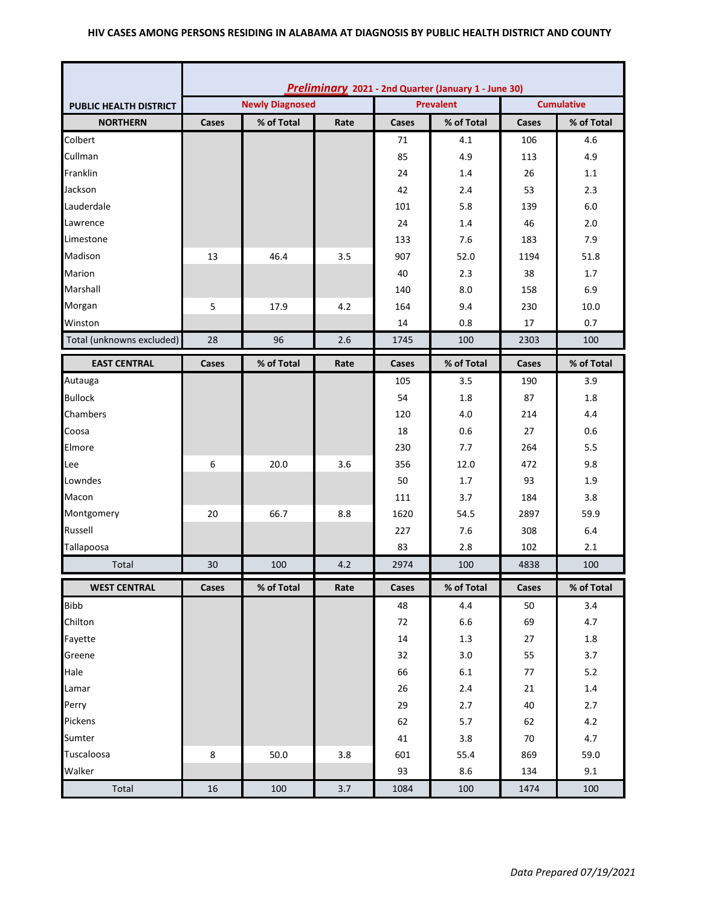### **HIV CASES AMONG PERSONS RESIDING IN ALABAMA AT DIAGNOSIS BY PUBLIC HEALTH DISTRICT AND COUNTY**

|                               | Preliminary 2021 - 2nd Quarter (January 1 - June 30) |                                            |      |       |            |       |                   |  |
|-------------------------------|------------------------------------------------------|--------------------------------------------|------|-------|------------|-------|-------------------|--|
| <b>PUBLIC HEALTH DISTRICT</b> |                                                      | <b>Newly Diagnosed</b><br><b>Prevalent</b> |      |       |            |       | <b>Cumulative</b> |  |
| <b>NORTHERN</b>               | Cases                                                | % of Total                                 | Rate | Cases | % of Total | Cases | % of Total        |  |
| Colbert                       |                                                      |                                            |      | 71    | 4.1        | 106   | 4.6               |  |
| Cullman                       |                                                      |                                            |      | 85    | 4.9        | 113   | 4.9               |  |
| Franklin                      |                                                      |                                            |      | 24    | 1.4        | 26    | 1.1               |  |
| Jackson                       |                                                      |                                            |      | 42    | 2.4        | 53    | 2.3               |  |
| Lauderdale                    |                                                      |                                            |      | 101   | 5.8        | 139   | 6.0               |  |
| Lawrence                      |                                                      |                                            |      | 24    | 1.4        | 46    | 2.0               |  |
| Limestone                     |                                                      |                                            |      | 133   | 7.6        | 183   | 7.9               |  |
| Madison                       | 13                                                   | 46.4                                       | 3.5  | 907   | 52.0       | 1194  | 51.8              |  |
| Marion                        |                                                      |                                            |      | 40    | 2.3        | 38    | 1.7               |  |
| Marshall                      |                                                      |                                            |      | 140   | 8.0        | 158   | 6.9               |  |
| Morgan                        | 5                                                    | 17.9                                       | 4.2  | 164   | 9.4        | 230   | 10.0              |  |
| Winston                       |                                                      |                                            |      | 14    | 0.8        | 17    | 0.7               |  |
| Total (unknowns excluded)     | 28                                                   | 96                                         | 2.6  | 1745  | 100        | 2303  | 100               |  |
| <b>EAST CENTRAL</b>           | Cases                                                | % of Total                                 | Rate | Cases | % of Total | Cases | % of Total        |  |
| Autauga                       |                                                      |                                            |      | 105   | 3.5        | 190   | 3.9               |  |
| <b>Bullock</b>                |                                                      |                                            |      | 54    | 1.8        | 87    | 1.8               |  |
| Chambers                      |                                                      |                                            |      | 120   | 4.0        | 214   | 4.4               |  |
| Coosa                         |                                                      |                                            |      | 18    | 0.6        | 27    | 0.6               |  |
| Elmore                        |                                                      |                                            |      | 230   | 7.7        | 264   | 5.5               |  |
| Lee                           | 6                                                    | 20.0                                       | 3.6  | 356   | 12.0       | 472   | 9.8               |  |
| Lowndes                       |                                                      |                                            |      | 50    | 1.7        | 93    | 1.9               |  |
| Macon                         |                                                      |                                            |      | 111   | 3.7        | 184   | 3.8               |  |
| Montgomery                    | 20                                                   | 66.7                                       | 8.8  | 1620  | 54.5       | 2897  | 59.9              |  |
| Russell                       |                                                      |                                            |      | 227   | 7.6        | 308   | 6.4               |  |
| Tallapoosa                    |                                                      |                                            |      | 83    | 2.8        | 102   | 2.1               |  |
| Total                         | 30                                                   | 100                                        | 4.2  | 2974  | 100        | 4838  | 100               |  |
| <b>WEST CENTRAL</b>           | Cases                                                | % of Total                                 | Rate | Cases | % of Total | Cases | % of Total        |  |
| <b>Bibb</b>                   |                                                      |                                            |      | 48    | 4.4        | 50    | 3.4               |  |
| Chilton                       |                                                      |                                            |      | 72    | $6.6\,$    | 69    | 4.7               |  |
| Fayette                       |                                                      |                                            |      | 14    | $1.3\,$    | 27    | $1.8\,$           |  |
| Greene                        |                                                      |                                            |      | 32    | 3.0        | 55    | 3.7               |  |
| Hale                          |                                                      |                                            |      | 66    | $6.1\,$    | 77    | $5.2$             |  |
| Lamar                         |                                                      |                                            |      | 26    | $2.4$      | 21    | $1.4\,$           |  |
| Perry                         |                                                      |                                            |      | 29    | 2.7        | 40    | 2.7               |  |
| Pickens                       |                                                      |                                            |      | 62    | $5.7$      | 62    | 4.2               |  |
| Sumter                        |                                                      |                                            |      | 41    | 3.8        | 70    | 4.7               |  |
| Tuscaloosa                    | 8                                                    | 50.0                                       | 3.8  | 601   | 55.4       | 869   | 59.0              |  |
| Walker                        |                                                      |                                            |      | 93    | 8.6        | 134   | 9.1               |  |
| Total                         | $16\,$                                               | 100                                        | 3.7  | 1084  | 100        | 1474  | 100               |  |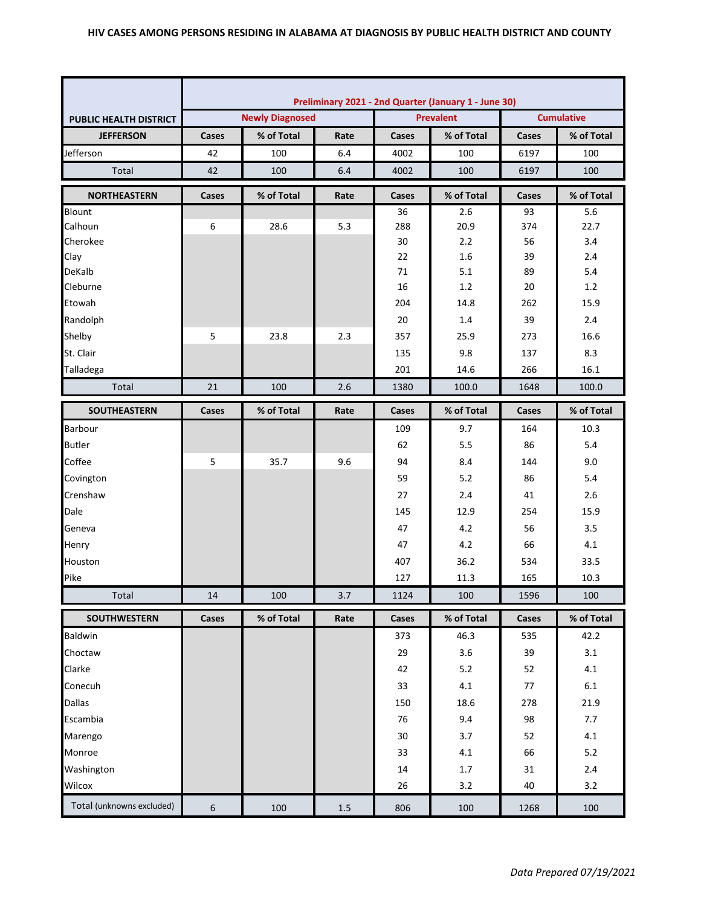|                           | Preliminary 2021 - 2nd Quarter (January 1 - June 30) |                        |      |       |                  |                   |            |  |
|---------------------------|------------------------------------------------------|------------------------|------|-------|------------------|-------------------|------------|--|
| PUBLIC HEALTH DISTRICT    |                                                      | <b>Newly Diagnosed</b> |      |       | <b>Prevalent</b> | <b>Cumulative</b> |            |  |
| <b>JEFFERSON</b>          | Cases                                                | % of Total             | Rate | Cases | % of Total       | Cases             | % of Total |  |
| Jefferson                 | 42                                                   | 100                    | 6.4  | 4002  | 100              | 6197              | 100        |  |
| Total                     | 42                                                   | 100                    | 6.4  | 4002  | 100              | 6197              | 100        |  |
| <b>NORTHEASTERN</b>       | Cases                                                | % of Total             | Rate | Cases | % of Total       | Cases             | % of Total |  |
| Blount                    |                                                      |                        |      | 36    | 2.6              | 93                | 5.6        |  |
| Calhoun                   | 6                                                    | 28.6                   | 5.3  | 288   | 20.9             | 374               | 22.7       |  |
| Cherokee                  |                                                      |                        |      | 30    | 2.2              | 56                | 3.4        |  |
| Clay                      |                                                      |                        |      | 22    | 1.6              | 39                | 2.4        |  |
| DeKalb                    |                                                      |                        |      | 71    | 5.1              | 89                | 5.4        |  |
| Cleburne                  |                                                      |                        |      | 16    | 1.2              | 20                | 1.2        |  |
| Etowah                    |                                                      |                        |      | 204   | 14.8             | 262               | 15.9       |  |
| Randolph                  |                                                      |                        |      | 20    | 1.4              | 39                | 2.4        |  |
| Shelby                    | 5                                                    | 23.8                   | 2.3  | 357   | 25.9             | 273               | 16.6       |  |
| St. Clair                 |                                                      |                        |      | 135   | 9.8              | 137               | 8.3        |  |
| Talladega                 |                                                      |                        |      | 201   | 14.6             | 266               | 16.1       |  |
| Total                     | 21                                                   | 100                    | 2.6  | 1380  | 100.0            | 1648              | 100.0      |  |
| <b>SOUTHEASTERN</b>       | Cases                                                | % of Total             | Rate | Cases | % of Total       | <b>Cases</b>      | % of Total |  |
| Barbour                   |                                                      |                        |      | 109   | 9.7              | 164               | 10.3       |  |
| <b>Butler</b>             |                                                      |                        |      | 62    | 5.5              | 86                | 5.4        |  |
| Coffee                    | 5                                                    | 35.7                   | 9.6  | 94    | 8.4              | 144               | 9.0        |  |
| Covington                 |                                                      |                        |      | 59    | 5.2              | 86                | 5.4        |  |
| Crenshaw                  |                                                      |                        |      | 27    | 2.4              | 41                | 2.6        |  |
| Dale                      |                                                      |                        |      | 145   | 12.9             | 254               | 15.9       |  |
| Geneva                    |                                                      |                        |      | 47    | 4.2              | 56                | 3.5        |  |
| Henry                     |                                                      |                        |      | 47    | 4.2              | 66                | 4.1        |  |
| Houston                   |                                                      |                        |      | 407   | 36.2             | 534               | 33.5       |  |
| Pike                      |                                                      |                        |      | 127   | 11.3             | 165               | 10.3       |  |
| Total                     | 14                                                   | 100                    | 3.7  | 1124  | 100              | 1596              | 100        |  |
| <b>SOUTHWESTERN</b>       | Cases                                                | % of Total             | Rate | Cases | % of Total       | Cases             | % of Total |  |
| Baldwin                   |                                                      |                        |      | 373   | 46.3             | 535               | 42.2       |  |
| Choctaw                   |                                                      |                        |      | 29    | 3.6              | 39                | 3.1        |  |
| Clarke                    |                                                      |                        |      | 42    | 5.2              | 52                | 4.1        |  |
| Conecuh                   |                                                      |                        |      | 33    | 4.1              | 77                | 6.1        |  |
| Dallas                    |                                                      |                        |      | 150   | 18.6             | 278               | 21.9       |  |
| Escambia                  |                                                      |                        |      | 76    | 9.4              | 98                | 7.7        |  |
| Marengo                   |                                                      |                        |      | 30    | 3.7              | 52                | 4.1        |  |
| Monroe                    |                                                      |                        |      | 33    | 4.1              | 66                | $5.2$      |  |
| Washington                |                                                      |                        |      | 14    | 1.7              | 31                | 2.4        |  |
| Wilcox                    |                                                      |                        |      | 26    | 3.2              | 40                | 3.2        |  |
| Total (unknowns excluded) | 6                                                    | 100                    | 1.5  | 806   | 100              | 1268              | 100        |  |